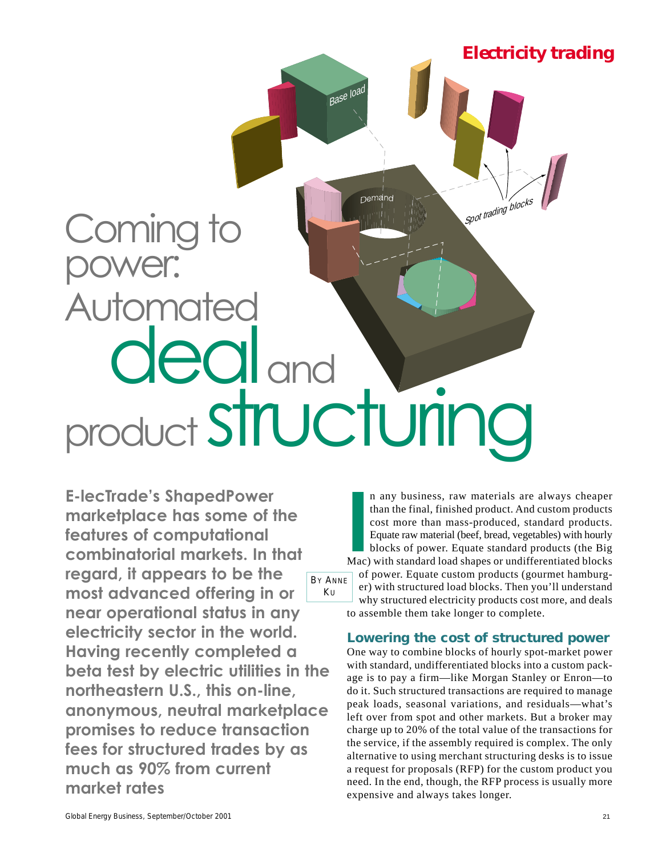

**E-lecTrade's ShapedPower marketplace has some of the features of computational combinatorial markets. In that regard, it appears to be the most advanced offering in or near operational status in any electricity sector in the world. Having recently completed a beta test by electric utilities in the northeastern U.S., this on-line, anonymous, neutral marketplace promises to reduce transaction fees for structured trades by as much as 90% from current market rates** BY ANNE  $KU$ 

In any business, raw materials are always cheaper<br>than the final, finished product. And custom products<br>cost more than mass-produced, standard products.<br>Equate raw material (beef, bread, vegetables) with hourly<br>blocks of p n any business, raw materials are always cheaper than the final, finished product. And custom products cost more than mass-produced, standard products. Equate raw material (beef, bread, vegetables) with hourly blocks of power. Equate standard products (the Big of power. Equate custom products (gourmet hamburger) with structured load blocks. Then you'll understand why structured electricity products cost more, and deals to assemble them take longer to complete.

#### **Lowering the cost of structured power**

One way to combine blocks of hourly spot-market power with standard, undifferentiated blocks into a custom package is to pay a firm—like Morgan Stanley or Enron—to do it. Such structured transactions are required to manage peak loads, seasonal variations, and residuals—what's left over from spot and other markets. But a broker may charge up to 20% of the total value of the transactions for the service, if the assembly required is complex. The only alternative to using merchant structuring desks is to issue a request for proposals (RFP) for the custom product you need. In the end, though, the RFP process is usually more expensive and always takes longer.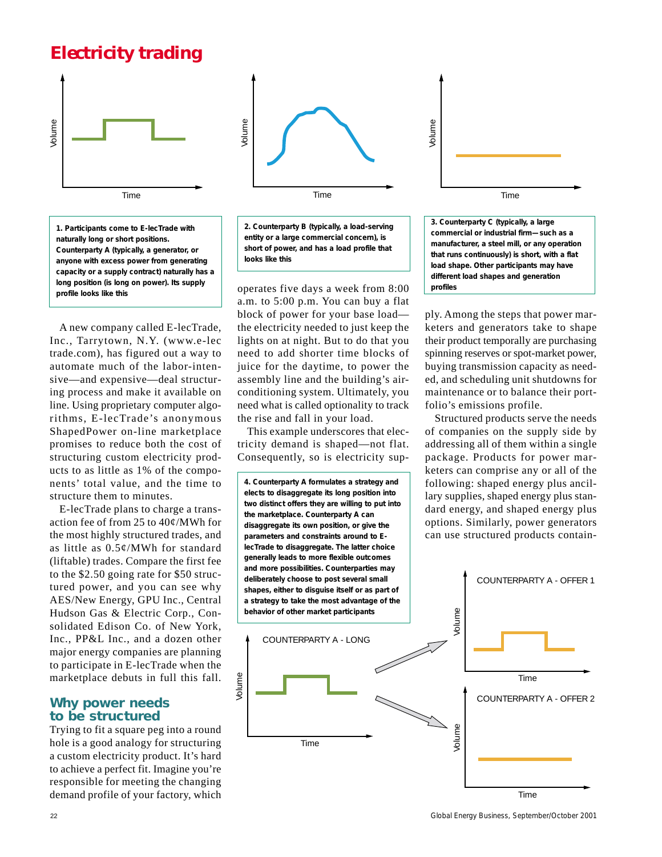## *Electricity trading*



*1. Participants come to E-lecTrade with naturally long or short positions. Counterparty A (typically, a generator, or anyone with excess power from generating capacity or a supply contract) naturally has a long position (is long on power). Its supply profile looks like this*

A new company called E-lecTrade, Inc., Tarrytown, N.Y. (www.e-lec trade.com), has figured out a way to automate much of the labor-intensive—and expensive—deal structuring process and make it available on line. Using proprietary computer algorithms, E-lecTrade's anonymous ShapedPower on-line marketplace promises to reduce both the cost of structuring custom electricity products to as little as 1% of the components' total value, and the time to structure them to minutes.

E-lecTrade plans to charge a transaction fee of from 25 to 40¢/MWh for the most highly structured trades, and as little as 0.5¢/MWh for standard (liftable) trades. Compare the first fee to the \$2.50 going rate for \$50 structured power, and you can see why AES/New Energy, GPU Inc., Central Hudson Gas & Electric Corp., Consolidated Edison Co. of New York, Inc., PP&L Inc., and a dozen other major energy companies are planning to participate in E-lecTrade when the marketplace debuts in full this fall.

#### **Why power needs to be structured**

Trying to fit a square peg into a round hole is a good analogy for structuring a custom electricity product. It's hard to achieve a perfect fit. Imagine you're responsible for meeting the changing demand profile of your factory, which



*2. Counterparty B (typically, a load-serving entity or a large commercial concern), is short of power, and has a load profile that looks like this*

operates five days a week from 8:00 a.m. to 5:00 p.m. You can buy a flat block of power for your base load the electricity needed to just keep the lights on at night. But to do that you need to add shorter time blocks of juice for the daytime, to power the assembly line and the building's airconditioning system. Ultimately, you need what is called optionality to track the rise and fall in your load.

This example underscores that electricity demand is shaped—not flat. Consequently, so is electricity sup-



Time *3. Counterparty C (typically, a large commercial or industrial firm—such as a manufacturer, a steel mill, or any operation that runs continuously) is short, with a flat load shape. Other participants may have different load shapes and generation*

Volume

*profiles*

ply. Among the steps that power marketers and generators take to shape their product temporally are purchasing spinning reserves or spot-market power, buying transmission capacity as needed, and scheduling unit shutdowns for maintenance or to balance their portfolio's emissions profile.

Structured products serve the needs of companies on the supply side by addressing all of them within a single package. Products for power marketers can comprise any or all of the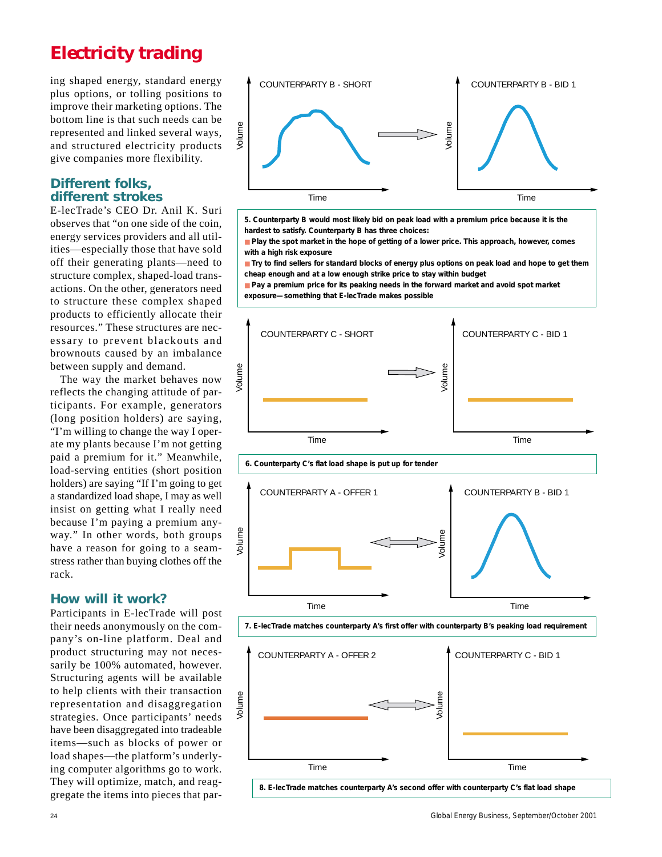# *Electricity trading*

ing shaped energy, standard energy plus options, or tolling positions to improve their marketing options. The bottom line is that such needs can be represented and linked several ways, and structured electricity products give companies more flexibility.

### **Different folks, different strokes**

E-lecTrade's CEO Dr. Anil K. Suri observes that "on one side of the coin, energy services providers and all utilities—especially those that have sold off their generating plants—need to structure complex, shaped-load transactions. On the other, generators need to structure these complex shaped products to efficiently allocate their resources." These structures are necessary to prevent blackouts and brownouts caused by an imbalance between supply and demand.

The way the market behaves now reflects the changing attitude of participants. For example, generators (long position holders) are saying, "I'm willing to change the way I operate my plants because I'm not getting paid a premium for it." Meanwhile, load-serving entities (short position holders) are saying "If I'm going to get a standardized load shape, I may as well insist on getting what I really need because I'm paying a premium anyway." In other words, both groups have a reason for going to a seamstress rather than buying clothes off the rack.

### **How will it work?**

Participants in E-lecTrade will post their needs anonymously on the company's on-line platform. Deal and product structuring may not necessarily be 100% automated, however. Structuring agents will be available to help clients with their transaction representation and disaggregation strategies. Once participants' needs have been disaggregated into tradeable items—such as blocks of power or load shapes—the platform's underlying computer algorithms go to work. They will optimize, match, and reaggregate the items into pieces that par-



*5. Counterparty B would most likely bid on peak load with a premium price because it is the hardest to satisfy. Counterparty B has three choices:*

■ *Play the spot market in the hope of getting of a lower price. This approach, however, comes with a high risk exposure*

■ *Try to find sellers for standard blocks of energy plus options on peak load and hope to get them cheap enough and at a low enough strike price to stay within budget*

■ Pay a premium price for its peaking needs in the forward market and avoid spot market *exposure—something that E-lecTrade makes possible*



*6. Counterparty C's flat load shape is put up for tender*